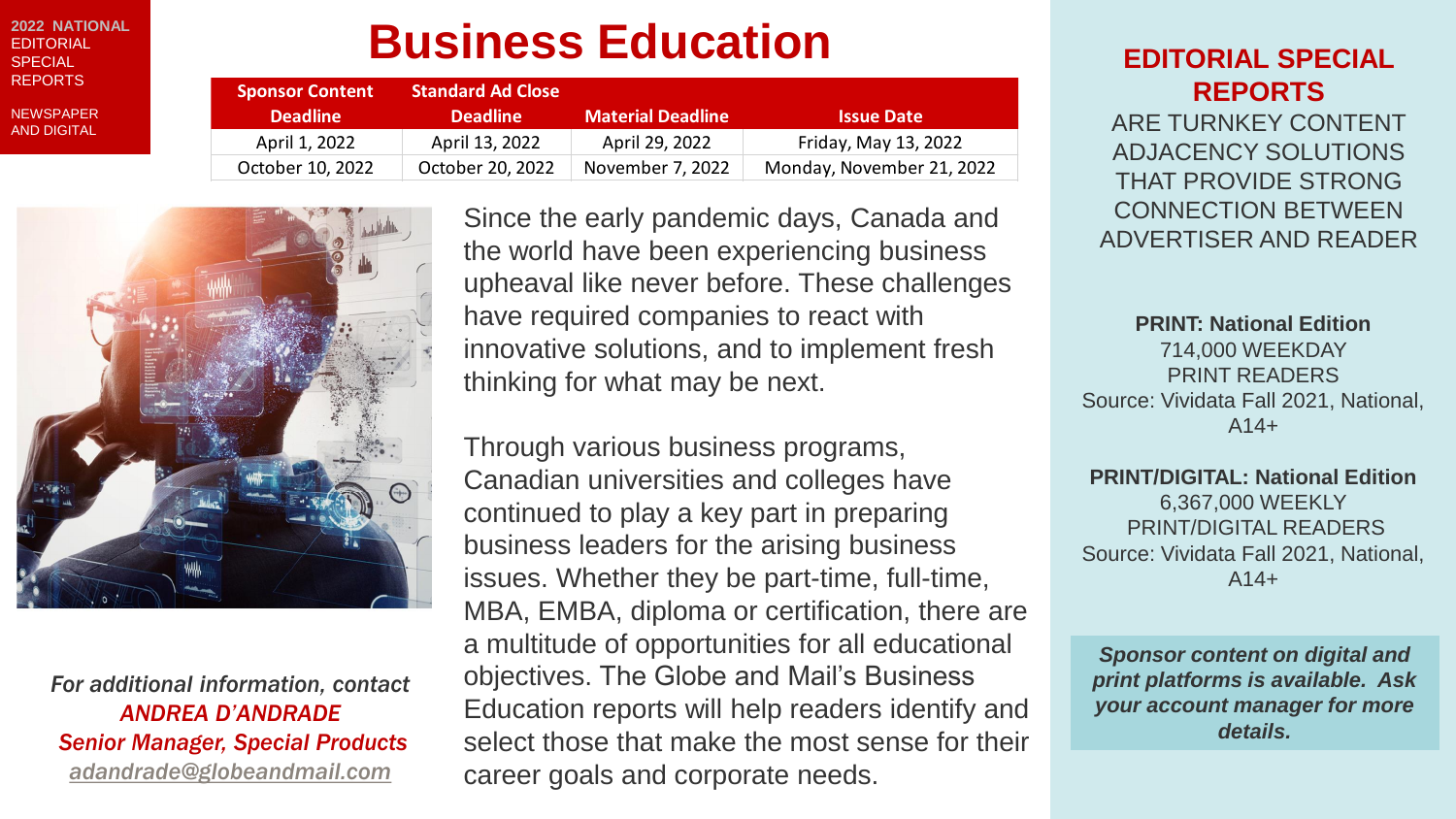**2022 NATIONAL FDITORIAL SPECIAL** REPORTS

**NEWSPAPER** AND DIGITAL

# **Business Education**

| <b>Sponsor Content</b> | <b>Standard Ad Close</b> |                          |                           |
|------------------------|--------------------------|--------------------------|---------------------------|
| <b>Deadline</b>        | <b>Deadline</b>          | <b>Material Deadline</b> | <b>Issue Date</b>         |
| April 1, 2022          | April 13, 2022           | April 29, 2022           | Friday, May 13, 2022      |
| October 10, 2022       | October 20, 2022         | November 7, 2022         | Monday, November 21, 2022 |



*For additional information, contact ANDREA D'ANDRADE Senior Manager, Special Products [adandrade@globeandmail.com](mailto:kryder@globeandmail.com)*

Since the early pandemic days, Canada and the world have been experiencing business upheaval like never before. These challenges have required companies to react with innovative solutions, and to implement fresh thinking for what may be next.

Through various business programs, Canadian universities and colleges have continued to play a key part in preparing business leaders for the arising business issues. Whether they be part-time, full-time, MBA, EMBA, diploma or certification, there are a multitude of opportunities for all educational objectives. The Globe and Mail's Business Education reports will help readers identify and select those that make the most sense for their career goals and corporate needs.

### **EDITORIAL SPECIAL REPORTS**

ARE TURNKEY CONTENT ADJACENCY SOLUTIONS THAT PROVIDE STRONG CONNECTION BETWEEN ADVERTISER AND READER

**PRINT: National Edition** 714,000 WEEKDAY PRINT READERS Source: Vividata Fall 2021, National,  $A14+$ 

**PRINT/DIGITAL: National Edition** 6,367,000 WEEKLY PRINT/DIGITAL READERS Source: Vividata Fall 2021, National,  $A14+$ 

*Sponsor content on digital and print platforms is available. Ask your account manager for more details.*